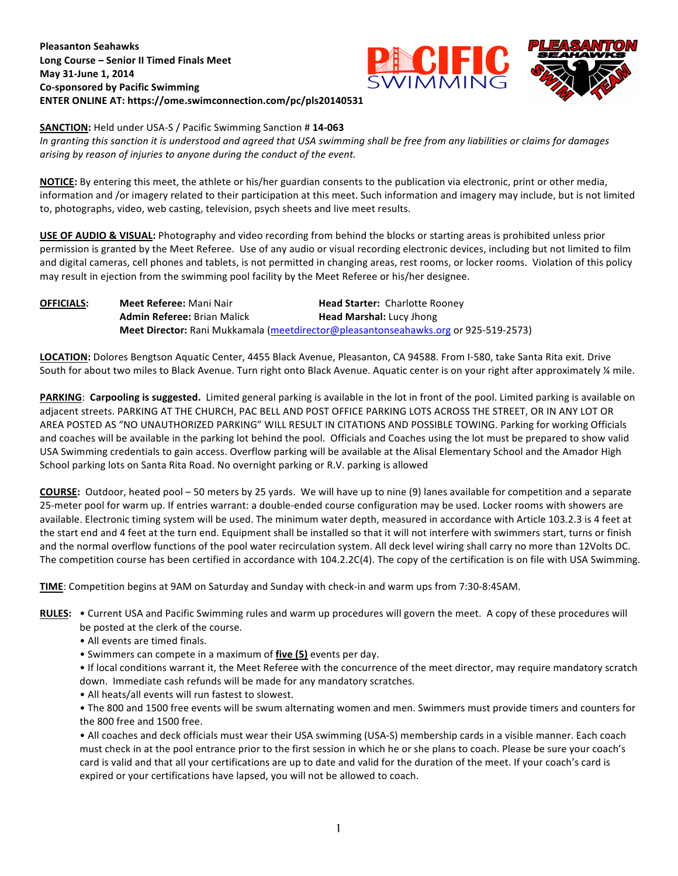# **Pleasanton Seahawks** Long Course - Senior II Timed Finals Meet **May 31-June 1, 2014 Co-sponsored by Pacific Swimming** ENTER ONLINE AT: https://ome.swimconnection.com/pc/pls20140531





### **SANCTION:** Held under USA-S / Pacific Swimming Sanction # 14-063

In granting this sanction it is understood and agreed that USA swimming shall be free from any liabilities or claims for damages arising by reason of injuries to anyone during the conduct of the event.

**NOTICE:** By entering this meet, the athlete or his/her guardian consents to the publication via electronic, print or other media, information and /or imagery related to their participation at this meet. Such information and imagery may include, but is not limited to, photographs, video, web casting, television, psych sheets and live meet results.

**USE OF AUDIO & VISUAL:** Photography and video recording from behind the blocks or starting areas is prohibited unless prior permission is granted by the Meet Referee. Use of any audio or visual recording electronic devices, including but not limited to film and digital cameras, cell phones and tablets, is not permitted in changing areas, rest rooms, or locker rooms. Violation of this policy may result in ejection from the swimming pool facility by the Meet Referee or his/her designee.

| <b>OFFICIALS:</b> | <b>Meet Referee: Mani Nair</b>     | <b>Head Starter: Charlotte Rooney</b>                                               |
|-------------------|------------------------------------|-------------------------------------------------------------------------------------|
|                   | <b>Admin Referee: Brian Malick</b> | <b>Head Marshal: Lucy Jhong</b>                                                     |
|                   |                                    | Meet Director: Rani Mukkamala (meetdirector@pleasantonseahawks.org or 925-519-2573) |

LOCATION: Dolores Bengtson Aquatic Center, 4455 Black Avenue, Pleasanton, CA 94588. From I-580, take Santa Rita exit. Drive South for about two miles to Black Avenue. Turn right onto Black Avenue. Aquatic center is on your right after approximately % mile.

**PARKING:** Carpooling is suggested. Limited general parking is available in the lot in front of the pool. Limited parking is available on adjacent streets. PARKING AT THE CHURCH, PAC BELL AND POST OFFICE PARKING LOTS ACROSS THE STREET, OR IN ANY LOT OR AREA POSTED AS "NO UNAUTHORIZED PARKING" WILL RESULT IN CITATIONS AND POSSIBLE TOWING. Parking for working Officials and coaches will be available in the parking lot behind the pool. Officials and Coaches using the lot must be prepared to show valid USA Swimming credentials to gain access. Overflow parking will be available at the Alisal Elementary School and the Amador High School parking lots on Santa Rita Road. No overnight parking or R.V. parking is allowed

**COURSE:** Outdoor, heated pool – 50 meters by 25 yards. We will have up to nine (9) lanes available for competition and a separate 25-meter pool for warm up. If entries warrant: a double-ended course configuration may be used. Locker rooms with showers are available. Electronic timing system will be used. The minimum water depth, measured in accordance with Article 103.2.3 is 4 feet at the start end and 4 feet at the turn end. Equipment shall be installed so that it will not interfere with swimmers start, turns or finish and the normal overflow functions of the pool water recirculation system. All deck level wiring shall carry no more than 12Volts DC. The competition course has been certified in accordance with  $104.2.2C(4)$ . The copy of the certification is on file with USA Swimming.

**TIME**: Competition begins at 9AM on Saturday and Sunday with check-in and warm ups from 7:30-8:45AM.

- RULES: . Current USA and Pacific Swimming rules and warm up procedures will govern the meet. A copy of these procedures will be posted at the clerk of the course.
	- All events are timed finals.
	- Swimmers can compete in a maximum of five (5) events per day.
	- If local conditions warrant it, the Meet Referee with the concurrence of the meet director, may require mandatory scratch down. Immediate cash refunds will be made for any mandatory scratches.
	- All heats/all events will run fastest to slowest.

• The 800 and 1500 free events will be swum alternating women and men. Swimmers must provide timers and counters for the 800 free and 1500 free.

• All coaches and deck officials must wear their USA swimming (USA-S) membership cards in a visible manner. Each coach must check in at the pool entrance prior to the first session in which he or she plans to coach. Please be sure your coach's card is valid and that all your certifications are up to date and valid for the duration of the meet. If your coach's card is expired or your certifications have lapsed, you will not be allowed to coach.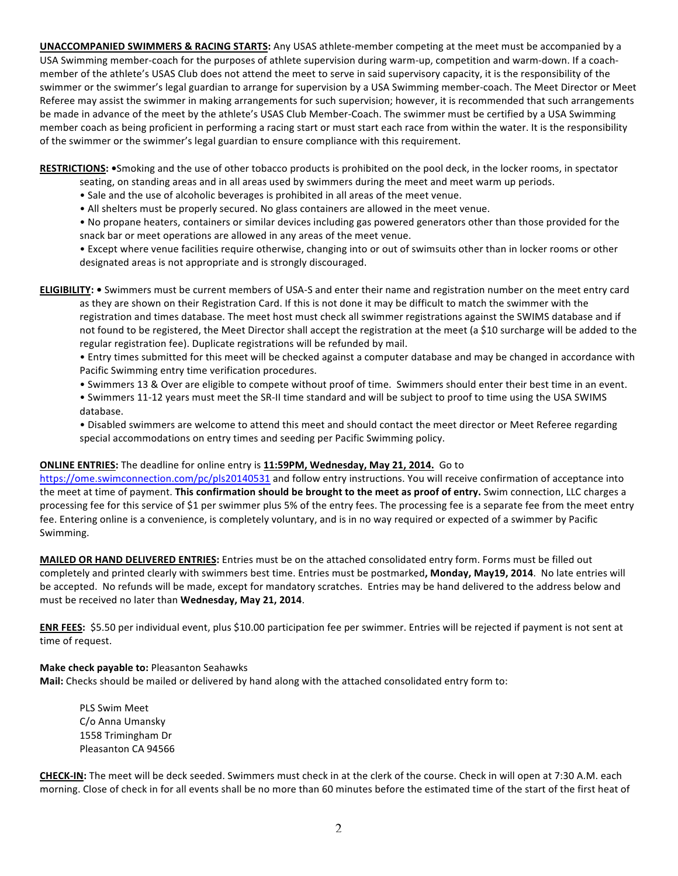**UNACCOMPANIED SWIMMERS & RACING STARTS:** Any USAS athlete-member competing at the meet must be accompanied by a USA Swimming member-coach for the purposes of athlete supervision during warm-up, competition and warm-down. If a coachmember of the athlete's USAS Club does not attend the meet to serve in said supervisory capacity, it is the responsibility of the swimmer or the swimmer's legal guardian to arrange for supervision by a USA Swimming member-coach. The Meet Director or Meet Referee may assist the swimmer in making arrangements for such supervision; however, it is recommended that such arrangements be made in advance of the meet by the athlete's USAS Club Member-Coach. The swimmer must be certified by a USA Swimming member coach as being proficient in performing a racing start or must start each race from within the water. It is the responsibility of the swimmer or the swimmer's legal guardian to ensure compliance with this requirement.

**RESTRICTIONS:** •Smoking and the use of other tobacco products is prohibited on the pool deck, in the locker rooms, in spectator

- seating, on standing areas and in all areas used by swimmers during the meet and meet warm up periods.
- Sale and the use of alcoholic beverages is prohibited in all areas of the meet venue.
- All shelters must be properly secured. No glass containers are allowed in the meet venue.
- No propane heaters, containers or similar devices including gas powered generators other than those provided for the snack bar or meet operations are allowed in any areas of the meet venue.
- Except where venue facilities require otherwise, changing into or out of swimsuits other than in locker rooms or other designated areas is not appropriate and is strongly discouraged.

**ELIGIBILITY:** • Swimmers must be current members of USA-S and enter their name and registration number on the meet entry card as they are shown on their Registration Card. If this is not done it may be difficult to match the swimmer with the registration and times database. The meet host must check all swimmer registrations against the SWIMS database and if not found to be registered, the Meet Director shall accept the registration at the meet (a \$10 surcharge will be added to the regular registration fee). Duplicate registrations will be refunded by mail.

- Entry times submitted for this meet will be checked against a computer database and may be changed in accordance with Pacific Swimming entry time verification procedures.
- Swimmers 13 & Over are eligible to compete without proof of time. Swimmers should enter their best time in an event.
- Swimmers 11-12 years must meet the SR-II time standard and will be subject to proof to time using the USA SWIMS database.

• Disabled swimmers are welcome to attend this meet and should contact the meet director or Meet Referee regarding special accommodations on entry times and seeding per Pacific Swimming policy.

# **ONLINE ENTRIES:** The deadline for online entry is 11:59PM, Wednesday, May 21, 2014. Go to

https://ome.swimconnection.com/pc/pls20140531 and follow entry instructions. You will receive confirmation of acceptance into the meet at time of payment. This confirmation should be brought to the meet as proof of entry. Swim connection, LLC charges a processing fee for this service of \$1 per swimmer plus 5% of the entry fees. The processing fee is a separate fee from the meet entry fee. Entering online is a convenience, is completely voluntary, and is in no way required or expected of a swimmer by Pacific Swimming.

MAILED OR HAND DELIVERED ENTRIES: Entries must be on the attached consolidated entry form. Forms must be filled out completely and printed clearly with swimmers best time. Entries must be postmarked, Monday, May19, 2014. No late entries will be accepted. No refunds will be made, except for mandatory scratches. Entries may be hand delivered to the address below and must be received no later than Wednesday, May 21, 2014.

**ENR FEES:** \$5.50 per individual event, plus \$10.00 participation fee per swimmer. Entries will be rejected if payment is not sent at time of request.

### **Make check payable to: Pleasanton Seahawks**

Mail: Checks should be mailed or delivered by hand along with the attached consolidated entry form to:

PLS Swim Meet C/o Anna Umansky 1558 Trimingham Dr Pleasanton CA 94566

**CHECK-IN:** The meet will be deck seeded. Swimmers must check in at the clerk of the course. Check in will open at 7:30 A.M. each morning. Close of check in for all events shall be no more than 60 minutes before the estimated time of the start of the first heat of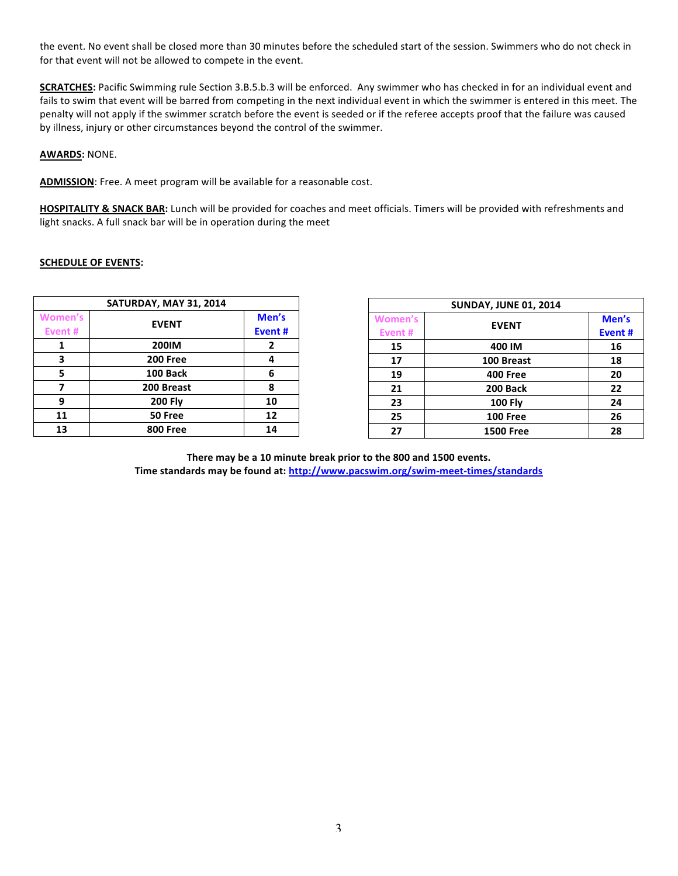the event. No event shall be closed more than 30 minutes before the scheduled start of the session. Swimmers who do not check in for that event will not be allowed to compete in the event.

**SCRATCHES:** Pacific Swimming rule Section 3.B.5.b.3 will be enforced. Any swimmer who has checked in for an individual event and fails to swim that event will be barred from competing in the next individual event in which the swimmer is entered in this meet. The penalty will not apply if the swimmer scratch before the event is seeded or if the referee accepts proof that the failure was caused by illness, injury or other circumstances beyond the control of the swimmer.

**AWARDS: NONE.** 

ADMISSION: Free. A meet program will be available for a reasonable cost.

HOSPITALITY & SNACK BAR: Lunch will be provided for coaches and meet officials. Timers will be provided with refreshments and light snacks. A full snack bar will be in operation during the meet

### **SCHEDULE OF EVENTS:**

| SATURDAY, MAY 31, 2014 |                 |        |  |  |  |  |  |  |
|------------------------|-----------------|--------|--|--|--|--|--|--|
| <b>Women's</b>         | <b>EVENT</b>    | Men's  |  |  |  |  |  |  |
| Event #                |                 | Event# |  |  |  |  |  |  |
|                        | <b>200IM</b>    | 2      |  |  |  |  |  |  |
| 3                      | <b>200 Free</b> |        |  |  |  |  |  |  |
| 5                      | 100 Back        | 6      |  |  |  |  |  |  |
|                        | 200 Breast      | 8      |  |  |  |  |  |  |
| q                      | <b>200 Fly</b>  | 10     |  |  |  |  |  |  |
| 11                     | 50 Free         | 12     |  |  |  |  |  |  |
| 13                     | <b>800 Free</b> | 14     |  |  |  |  |  |  |

| <b>SUNDAY, JUNE 01, 2014</b> |                  |        |  |  |  |  |  |  |
|------------------------------|------------------|--------|--|--|--|--|--|--|
| <b>Women's</b>               | <b>EVENT</b>     | Men's  |  |  |  |  |  |  |
| Event#                       |                  | Event# |  |  |  |  |  |  |
| 15                           | 400 IM           | 16     |  |  |  |  |  |  |
| 17                           | 100 Breast       | 18     |  |  |  |  |  |  |
| 19                           | <b>400 Free</b>  | 20     |  |  |  |  |  |  |
| 21                           | 200 Back         | 22     |  |  |  |  |  |  |
| 23                           | <b>100 Fly</b>   | 24     |  |  |  |  |  |  |
| 25                           | <b>100 Free</b>  | 26     |  |  |  |  |  |  |
| 27                           | <b>1500 Free</b> | 28     |  |  |  |  |  |  |

There may be a 10 minute break prior to the 800 and 1500 events. Time standards may be found at: http://www.pacswim.org/swim-meet-times/standards